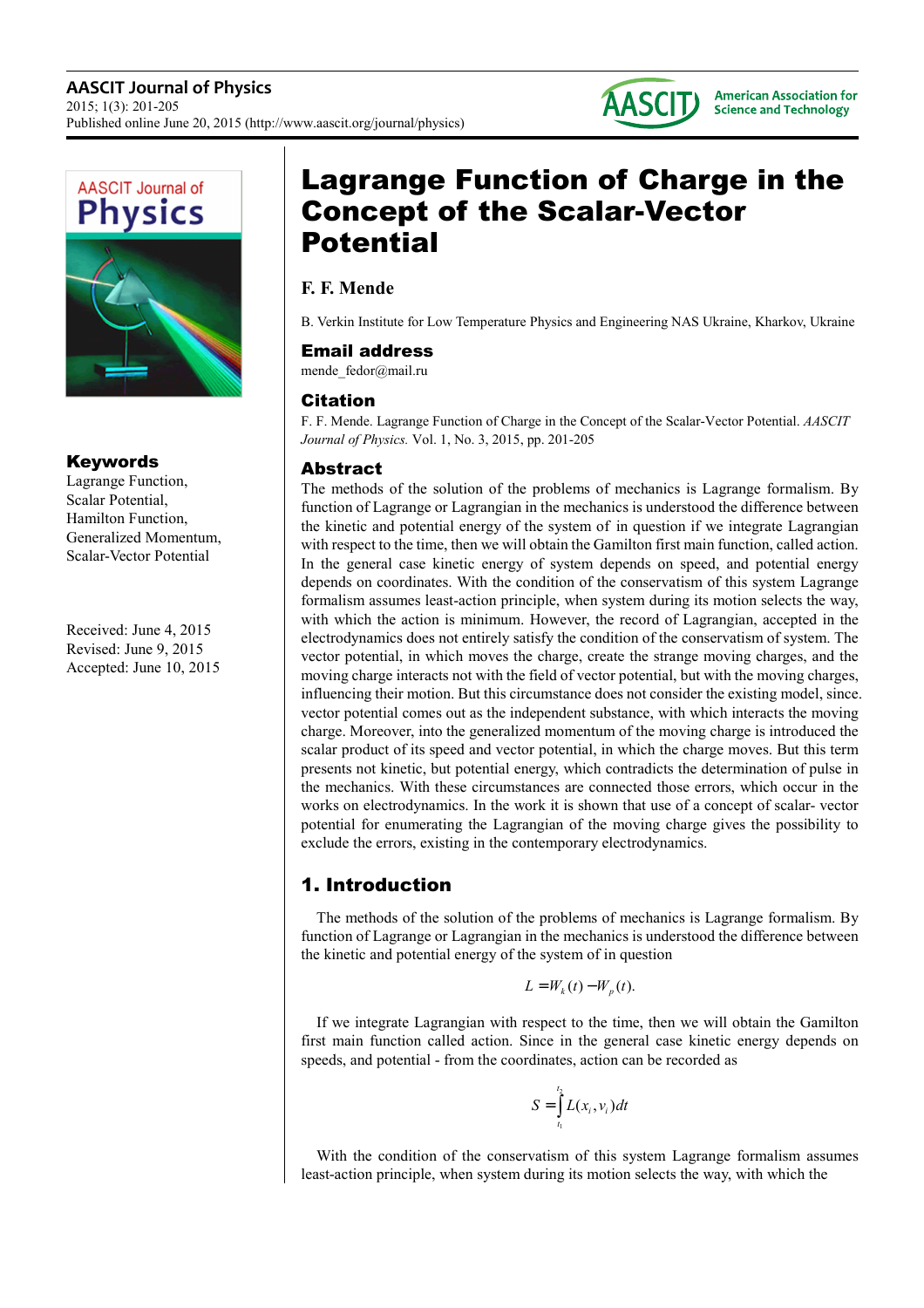



## Keywords

Lagrange Function, Scalar Potential, Hamilton Function, Generalized Momentum, Scalar-Vector Potential

Received: June 4, 2015 Revised: June 9, 2015 Accepted: June 10, 2015

# Lagrange Function of Charge in the Concept of the Scalar-Vector **Potential**

## **F. F. Mende**

B. Verkin Institute for Low Temperature Physics and Engineering NAS Ukraine, Kharkov, Ukraine

### Email address

mende fedor@mail.ru

## Citation

F. F. Mende. Lagrange Function of Charge in the Concept of the Scalar-Vector Potential. *AASCIT Journal of Physics.* Vol. 1, No. 3, 2015, pp. 201-205

## Abstract

The methods of the solution of the problems of mechanics is Lagrange formalism. By function of Lagrange or Lagrangian in the mechanics is understood the difference between the kinetic and potential energy of the system of in question if we integrate Lagrangian with respect to the time, then we will obtain the Gamilton first main function, called action. In the general case kinetic energy of system depends on speed, and potential energy depends on coordinates. With the condition of the conservatism of this system Lagrange formalism assumes least-action principle, when system during its motion selects the way, with which the action is minimum. However, the record of Lagrangian, accepted in the electrodynamics does not entirely satisfy the condition of the conservatism of system. The vector potential, in which moves the charge, create the strange moving charges, and the moving charge interacts not with the field of vector potential, but with the moving charges, influencing their motion. But this circumstance does not consider the existing model, since. vector potential comes out as the independent substance, with which interacts the moving charge. Moreover, into the generalized momentum of the moving charge is introduced the scalar product of its speed and vector potential, in which the charge moves. But this term presents not kinetic, but potential energy, which contradicts the determination of pulse in the mechanics. With these circumstances are connected those errors, which occur in the works on electrodynamics. In the work it is shown that use of a concept of scalar- vector potential for enumerating the Lagrangian of the moving charge gives the possibility to exclude the errors, existing in the contemporary electrodynamics.

# 1. Introduction

The methods of the solution of the problems of mechanics is Lagrange formalism. By function of Lagrange or Lagrangian in the mechanics is understood the difference between the kinetic and potential energy of the system of in question

$$
L = W_k(t) - W_p(t).
$$

If we integrate Lagrangian with respect to the time, then we will obtain the Gamilton first main function called action. Since in the general case kinetic energy depends on speeds, and potential - from the coordinates, action can be recorded as

$$
S = \int_{t_1}^{t_2} L(x_i, v_i) dt
$$

With the condition of the conservatism of this system Lagrange formalism assumes least-action principle, when system during its motion selects the way, with which the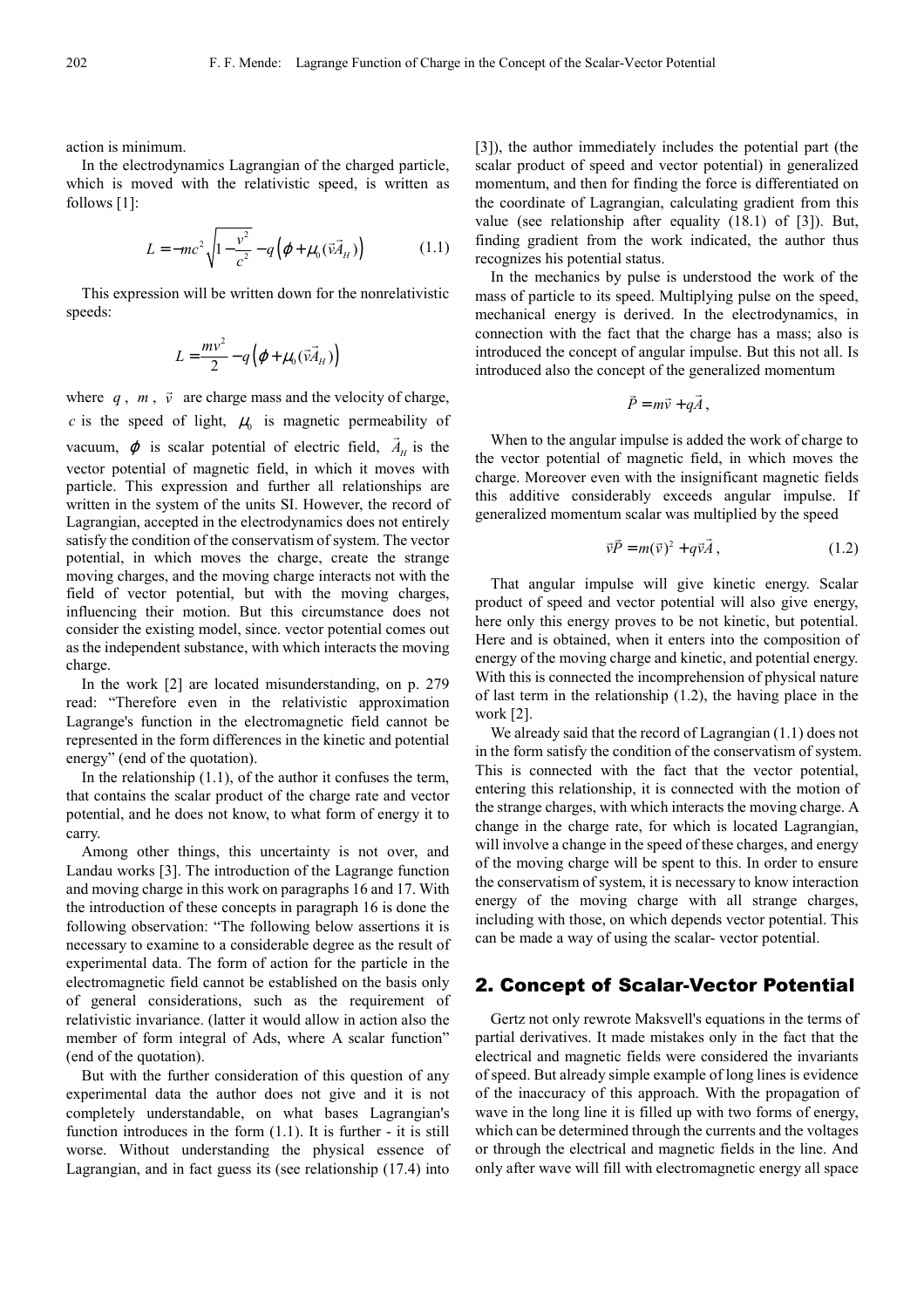action is minimum.

In the electrodynamics Lagrangian of the charged particle, which is moved with the relativistic speed, is written as follows [1]:

$$
L = -mc^2 \sqrt{1 - \frac{v^2}{c^2}} - q(\varphi + \mu_0(\vec{v}\vec{A}_H))
$$
 (1.1)

This expression will be written down for the nonrelativistic speeds:

$$
L = \frac{mv^2}{2} - q\left(\varphi + \mu_0(\vec{v}\vec{A}_H)\right)
$$

where  $q$ ,  $m$ ,  $\vec{v}$  are charge mass and the velocity of charge, *c* is the speed of light,  $\mu_0$  is magnetic permeability of vacuum,  $\varphi$  is scalar potential of electric field,  $A_H$  is the vector potential of magnetic field, in which it moves with particle. This expression and further all relationships are written in the system of the units SI. However, the record of Lagrangian, accepted in the electrodynamics does not entirely satisfy the condition of the conservatism of system. The vector potential, in which moves the charge, create the strange moving charges, and the moving charge interacts not with the field of vector potential, but with the moving charges, influencing their motion. But this circumstance does not consider the existing model, since. vector potential comes out as the independent substance, with which interacts the moving charge.

In the work [2] are located misunderstanding, on p. 279 read: "Therefore even in the relativistic approximation Lagrange's function in the electromagnetic field cannot be represented in the form differences in the kinetic and potential energy" (end of the quotation).

In the relationship (1.1), of the author it confuses the term, that contains the scalar product of the charge rate and vector potential, and he does not know, to what form of energy it to carry.

Among other things, this uncertainty is not over, and Landau works [3]. The introduction of the Lagrange function and moving charge in this work on paragraphs 16 and 17. With the introduction of these concepts in paragraph 16 is done the following observation: "The following below assertions it is necessary to examine to a considerable degree as the result of experimental data. The form of action for the particle in the electromagnetic field cannot be established on the basis only of general considerations, such as the requirement of relativistic invariance. (latter it would allow in action also the member of form integral of Ads, where A scalar function" (end of the quotation).

But with the further consideration of this question of any experimental data the author does not give and it is not completely understandable, on what bases Lagrangian's function introduces in the form (1.1). It is further - it is still worse. Without understanding the physical essence of Lagrangian, and in fact guess its (see relationship (17.4) into [3]), the author immediately includes the potential part (the scalar product of speed and vector potential) in generalized momentum, and then for finding the force is differentiated on the coordinate of Lagrangian, calculating gradient from this value (see relationship after equality (18.1) of [3]). But, finding gradient from the work indicated, the author thus recognizes his potential status.

In the mechanics by pulse is understood the work of the mass of particle to its speed. Multiplying pulse on the speed, mechanical energy is derived. In the electrodynamics, in connection with the fact that the charge has a mass; also is introduced the concept of angular impulse. But this not all. Is introduced also the concept of the generalized momentum

$$
\vec{P} = m\vec{v} + q\vec{A}
$$

,

When to the angular impulse is added the work of charge to the vector potential of magnetic field, in which moves the charge. Moreover even with the insignificant magnetic fields this additive considerably exceeds angular impulse. If generalized momentum scalar was multiplied by the speed

$$
\vec{v}\vec{P} = m(\vec{v})^2 + q\vec{v}\vec{A},\qquad(1.2)
$$

That angular impulse will give kinetic energy. Scalar product of speed and vector potential will also give energy, here only this energy proves to be not kinetic, but potential. Here and is obtained, when it enters into the composition of energy of the moving charge and kinetic, and potential energy. With this is connected the incomprehension of physical nature of last term in the relationship (1.2), the having place in the work [2].

We already said that the record of Lagrangian (1.1) does not in the form satisfy the condition of the conservatism of system. This is connected with the fact that the vector potential, entering this relationship, it is connected with the motion of the strange charges, with which interacts the moving charge. A change in the charge rate, for which is located Lagrangian, will involve a change in the speed of these charges, and energy of the moving charge will be spent to this. In order to ensure the conservatism of system, it is necessary to know interaction energy of the moving charge with all strange charges, including with those, on which depends vector potential. This can be made a way of using the scalar- vector potential.

#### 2. Concept of Scalar-Vector Potential

Gertz not only rewrote Maksvell's equations in the terms of partial derivatives. It made mistakes only in the fact that the electrical and magnetic fields were considered the invariants of speed. But already simple example of long lines is evidence of the inaccuracy of this approach. With the propagation of wave in the long line it is filled up with two forms of energy, which can be determined through the currents and the voltages or through the electrical and magnetic fields in the line. And only after wave will fill with electromagnetic energy all space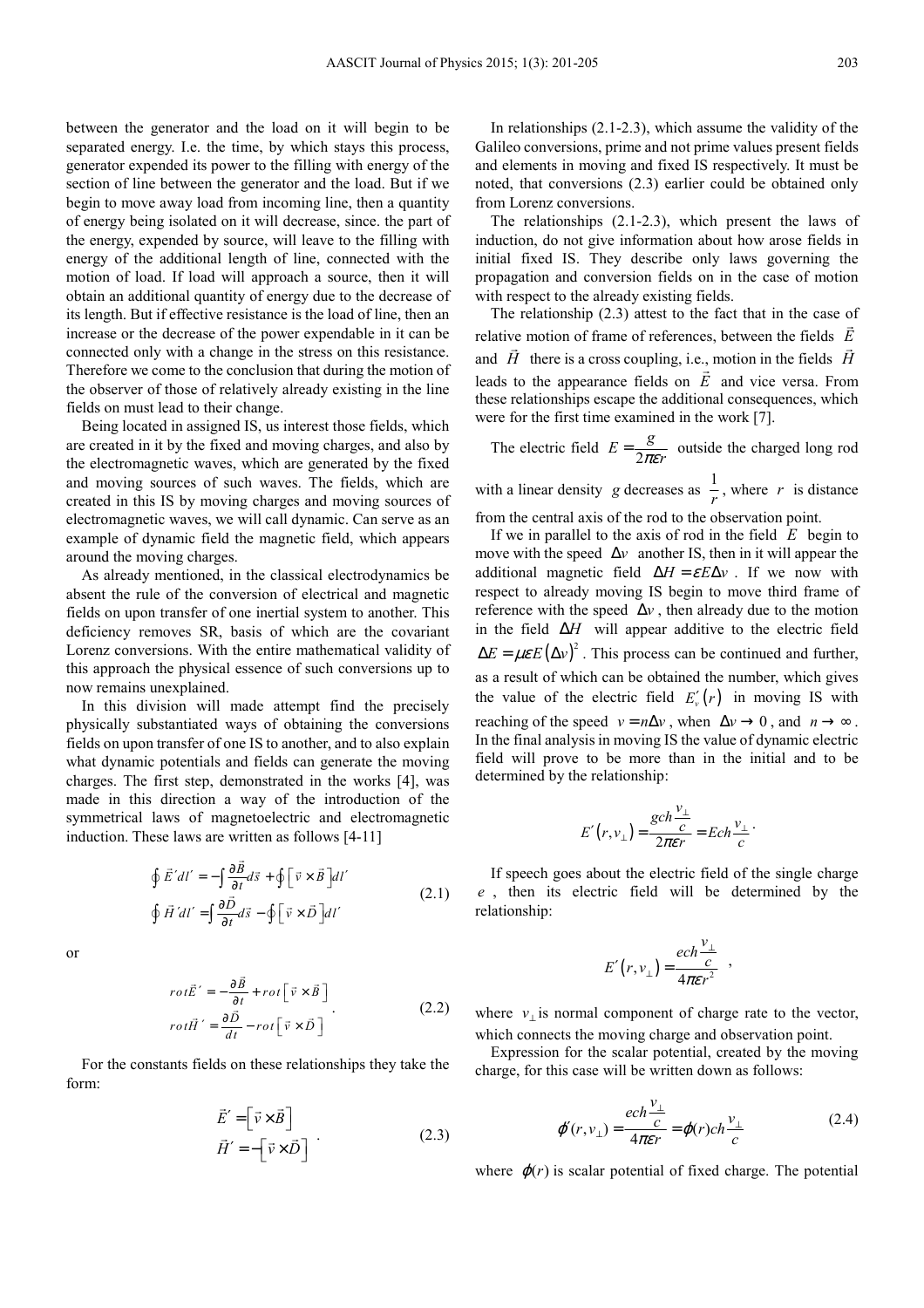between the generator and the load on it will begin to be separated energy. I.e. the time, by which stays this process, generator expended its power to the filling with energy of the section of line between the generator and the load. But if we begin to move away load from incoming line, then a quantity of energy being isolated on it will decrease, since. the part of the energy, expended by source, will leave to the filling with energy of the additional length of line, connected with the motion of load. If load will approach a source, then it will obtain an additional quantity of energy due to the decrease of its length. But if effective resistance is the load of line, then an increase or the decrease of the power expendable in it can be connected only with a change in the stress on this resistance. Therefore we come to the conclusion that during the motion of the observer of those of relatively already existing in the line fields on must lead to their change.

Being located in assigned IS, us interest those fields, which are created in it by the fixed and moving charges, and also by the electromagnetic waves, which are generated by the fixed and moving sources of such waves. The fields, which are created in this IS by moving charges and moving sources of electromagnetic waves, we will call dynamic. Can serve as an example of dynamic field the magnetic field, which appears around the moving charges.

As already mentioned, in the classical electrodynamics be absent the rule of the conversion of electrical and magnetic fields on upon transfer of one inertial system to another. This deficiency removes SR, basis of which are the covariant Lorenz conversions. With the entire mathematical validity of this approach the physical essence of such conversions up to now remains unexplained.

In this division will made attempt find the precisely physically substantiated ways of obtaining the conversions fields on upon transfer of one IS to another, and to also explain what dynamic potentials and fields can generate the moving charges. The first step, demonstrated in the works [4], was made in this direction a way of the introduction of the symmetrical laws of magnetoelectric and electromagnetic induction. These laws are written as follows [4-11]

$$
\oint \vec{E}' dl' = -\int \frac{\partial \vec{B}}{\partial t} d\vec{s} + \oint \left[ \vec{v} \times \vec{B} \right] dl'
$$
\n
$$
\oint \vec{H}' dl' = \int \frac{\partial \vec{D}}{\partial t} d\vec{s} - \oint \left[ \vec{v} \times \vec{D} \right] dl'
$$
\n(2.1)

or

$$
rot\vec{E}' = -\frac{\partial \vec{B}}{\partial t} + rot \left[ \vec{v} \times \vec{B} \right]
$$
  

$$
rot\vec{H}' = \frac{\partial \vec{D}}{\partial t} - rot \left[ \vec{v} \times \vec{D} \right]
$$
 (2.2)

For the constants fields on these relationships they take the form:

$$
\vec{E}' = \begin{bmatrix} \vec{v} \times \vec{B} \end{bmatrix} \n\vec{H}' = -\begin{bmatrix} \vec{v} \times \vec{D} \end{bmatrix}
$$
\n(2.3)

In relationships  $(2.1-2.3)$ , which assume the validity of the Galileo conversions, prime and not prime values present fields and elements in moving and fixed IS respectively. It must be noted, that conversions (2.3) earlier could be obtained only from Lorenz conversions.

The relationships (2.1-2.3), which present the laws of induction, do not give information about how arose fields in initial fixed IS. They describe only laws governing the propagation and conversion fields on in the case of motion with respect to the already existing fields.

The relationship  $(2.3)$  attest to the fact that in the case of relative motion of frame of references, between the fields *E* and *H* there is a cross coupling, i.e., motion in the fields *H* leads to the appearance fields on *E* and vice versa. From these relationships escape the additional consequences, which were for the first time examined in the work [7].

The electric field  $E = \frac{g}{2\pi\epsilon r}$  outside the charged long rod with a linear density *g* decreases as  $\frac{1}{r}$ , where *r* is distance

from the central axis of the rod to the observation point.

If we in parallel to the axis of rod in the field *E* begin to move with the speed  $\Delta v$  another IS, then in it will appear the additional magnetic field  $\Delta H = \varepsilon E \Delta v$ . If we now with respect to already moving IS begin to move third frame of reference with the speed  $\Delta v$ , then already due to the motion in the field ∆*H* will appear additive to the electric field  $\Delta E = \mu \varepsilon E (\Delta v)^2$ . This process can be continued and further, as a result of which can be obtained the number, which gives the value of the electric field  $E'_v(r)$  in moving IS with reaching of the speed  $v = n\Delta v$ , when  $\Delta v \rightarrow 0$ , and  $n \rightarrow \infty$ . In the final analysis in moving IS the value of dynamic electric field will prove to be more than in the initial and to be determined by the relationship:

$$
E'(r, v_{\perp}) = \frac{gch\frac{v_{\perp}}{c}}{2\pi\epsilon r} = Ech\frac{v_{\perp}}{c}.
$$

If speech goes about the electric field of the single charge *e* , then its electric field will be determined by the relationship:

$$
E'(r, v_{\perp}) = \frac{ech \frac{v_{\perp}}{c}}{4\pi \varepsilon r^2} ,
$$

where  $v_{\perp}$  is normal component of charge rate to the vector, which connects the moving charge and observation point.

Expression for the scalar potential, created by the moving charge, for this case will be written down as follows:

$$
\varphi'(r, v_{\perp}) = \frac{ech \frac{v_{\perp}}{c}}{4\pi \varepsilon r} = \varphi(r) ch \frac{v_{\perp}}{c}
$$
 (2.4)

where  $\varphi(r)$  is scalar potential of fixed charge. The potential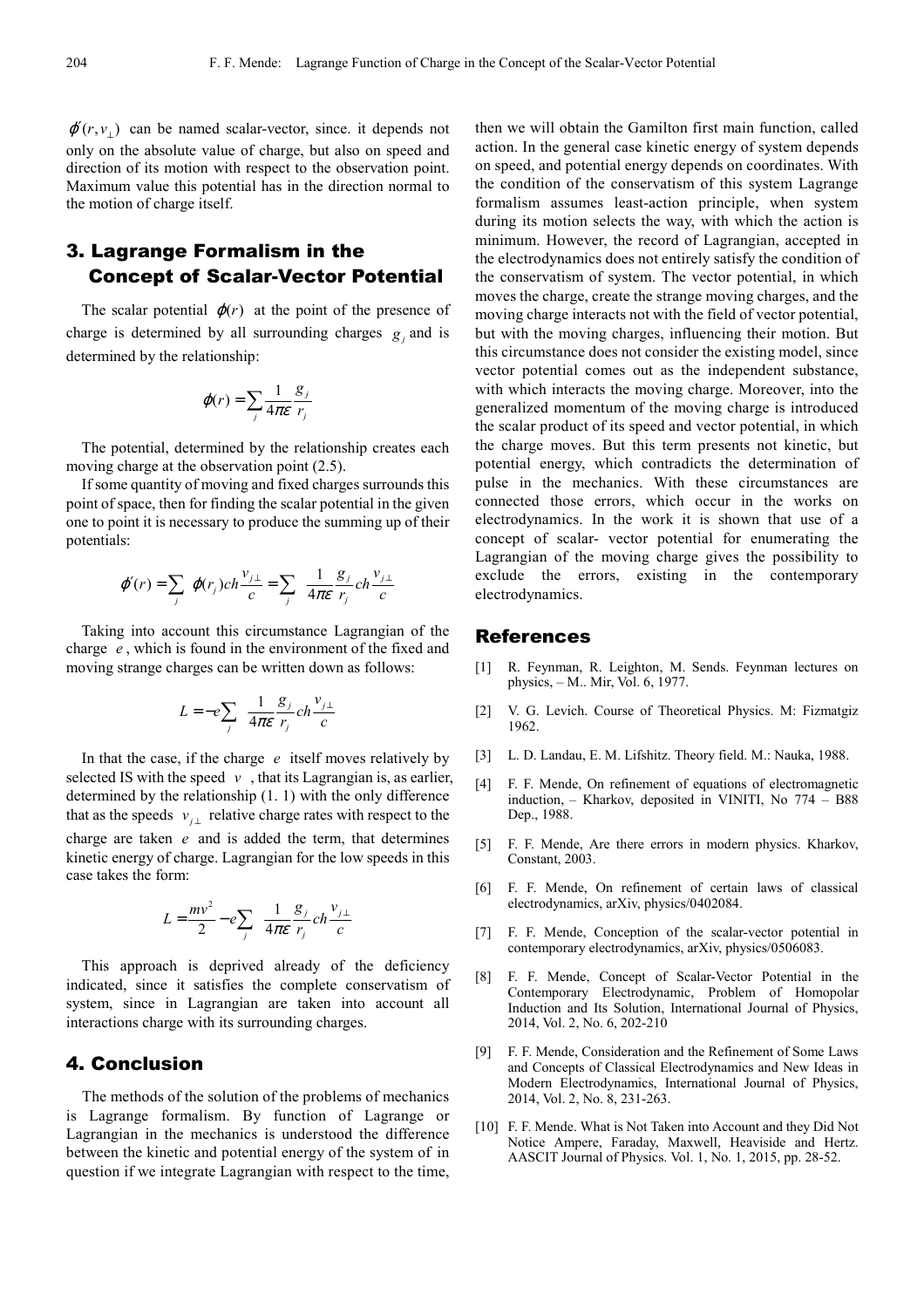$\varphi'(r, v_+)$  can be named scalar-vector, since. it depends not only on the absolute value of charge, but also on speed and direction of its motion with respect to the observation point. Maximum value this potential has in the direction normal to the motion of charge itself.

## 3. Lagrange Formalism in the Concept of Scalar-Vector Potential

The scalar potential  $\varphi(r)$  at the point of the presence of charge is determined by all surrounding charges  $g_j$  and is determined by the relationship:

$$
\varphi(r) = \sum_j \frac{1}{4\pi\varepsilon} \frac{g_j}{r_j}
$$

The potential, determined by the relationship creates each moving charge at the observation point (2.5).

If some quantity of moving and fixed charges surrounds this point of space, then for finding the scalar potential in the given one to point it is necessary to produce the summing up of their potentials:

$$
\varphi'(r) = \sum_j \varphi(r_j) ch \frac{v_{j\perp}}{c} = \sum_j \frac{1}{4\pi \varepsilon} \frac{g_j}{r_j} ch \frac{v_{j\perp}}{c}
$$

Taking into account this circumstance Lagrangian of the charge *e* , which is found in the environment of the fixed and moving strange charges can be written down as follows:

$$
L = -e \sum_{j} \frac{1}{4\pi \varepsilon} \frac{g_j}{r_j} ch \frac{v_{j\perp}}{c}
$$

In that the case, if the charge *e* itself moves relatively by selected IS with the speed  $v$ , that its Lagrangian is, as earlier, determined by the relationship (1. 1) with the only difference that as the speeds  $v_{j\perp}$  relative charge rates with respect to the charge are taken *e* and is added the term, that determines kinetic energy of charge. Lagrangian for the low speeds in this case takes the form:

$$
L = \frac{mv^2}{2} - e \sum_{j} \frac{1}{4\pi \varepsilon} \frac{g_j}{r_j} ch \frac{v_{j\perp}}{c}
$$

This approach is deprived already of the deficiency indicated, since it satisfies the complete conservatism of system, since in Lagrangian are taken into account all interactions charge with its surrounding charges.

## 4. Conclusion

The methods of the solution of the problems of mechanics is Lagrange formalism. By function of Lagrange or Lagrangian in the mechanics is understood the difference between the kinetic and potential energy of the system of in question if we integrate Lagrangian with respect to the time, then we will obtain the Gamilton first main function, called action. In the general case kinetic energy of system depends on speed, and potential energy depends on coordinates. With the condition of the conservatism of this system Lagrange formalism assumes least-action principle, when system during its motion selects the way, with which the action is minimum. However, the record of Lagrangian, accepted in the electrodynamics does not entirely satisfy the condition of the conservatism of system. The vector potential, in which moves the charge, create the strange moving charges, and the moving charge interacts not with the field of vector potential, but with the moving charges, influencing their motion. But this circumstance does not consider the existing model, since vector potential comes out as the independent substance, with which interacts the moving charge. Moreover, into the generalized momentum of the moving charge is introduced the scalar product of its speed and vector potential, in which the charge moves. But this term presents not kinetic, but potential energy, which contradicts the determination of pulse in the mechanics. With these circumstances are connected those errors, which occur in the works on electrodynamics. In the work it is shown that use of a concept of scalar- vector potential for enumerating the Lagrangian of the moving charge gives the possibility to exclude the errors, existing in the contemporary electrodynamics.

#### References

- [1] R. Feynman, R. Leighton, M. Sends. Feynman lectures on physics, – М.. Mir, Vol. 6, 1977.
- [2] V. G. Levich. Course of Theoretical Physics. M: Fizmatgiz 1962.
- [3] L. D. Landau, E. M. Lifshitz. Theory field. M.: Nauka, 1988.
- [4] F. F. Mende, On refinement of equations of electromagnetic induction, – Kharkov, deposited in VINITI, No 774 – B88 Dep., 1988.
- [5] F. F. Mende, Are there errors in modern physics. Kharkov, Constant, 2003.
- [6] F. F. Mende, On refinement of certain laws of classical electrodynamics, arXiv, physics/0402084.
- [7] F. F. Mende, Conception of the scalar-vector potential in contemporary electrodynamics, arXiv, physics/0506083.
- [8] F. F. Mende, Concept of Scalar-Vector Potential in the Contemporary Electrodynamic, Problem of Homopolar Induction and Its Solution, International Journal of Physics, 2014, Vol. 2, No. 6, 202-210
- [9] F. F. Mende, Consideration and the Refinement of Some Laws and Concepts of Classical Electrodynamics and New Ideas in Modern Electrodynamics, International Journal of Physics, 2014, Vol. 2, No. 8, 231-263.
- [10] F. F. Mende. What is Not Taken into Account and they Did Not Notice Ampere, Faraday, Maxwell, Heaviside and Hertz. AASCIT Journal of Physics. Vol. 1, No. 1, 2015, pp. 28-52.